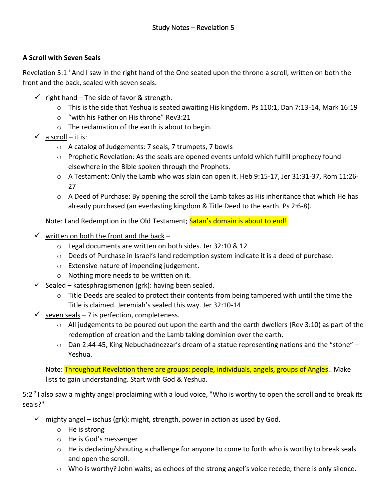## **A Scroll with Seven Seals**

Revelation 5:1<sup>1</sup> And I saw in the right hand of the One seated upon the throne a scroll, written on both the front and the back, sealed with seven seals.

- $\checkmark$  right hand The side of favor & strength.
	- o This is the side that Yeshua is seated awaiting His kingdom. Ps 110:1, Dan 7:13-14, Mark 16:19
	- o "with his Father on His throne" Rev3:21
	- o The reclamation of the earth is about to begin.
- $\checkmark$  a scroll it is:
	- o A catalog of Judgements: 7 seals, 7 trumpets, 7 bowls
	- $\circ$  Prophetic Revelation: As the seals are opened events unfold which fulfill prophecy found elsewhere in the Bible spoken through the Prophets.
	- o A Testament: Only the Lamb who was slain can open it. Heb 9:15-17, Jer 31:31-37, Rom 11:26- 27
	- $\circ$  A Deed of Purchase: By opening the scroll the Lamb takes as His inheritance that which He has already purchased (an everlasting kingdom & Title Deed to the earth. Ps 2:6-8).

Note: Land Redemption in the Old Testament; Satan's domain is about to end!

- $\checkmark$  written on both the front and the back
	- o Legal documents are written on both sides. Jer 32:10 & 12
	- $\circ$  Deeds of Purchase in Israel's land redemption system indicate it is a deed of purchase.
	- o Extensive nature of impending judgement.
	- o Nothing more needs to be written on it.
- $\checkmark$  Sealed katesphragismenon (grk): having been sealed.
	- $\circ$  Title Deeds are sealed to protect their contents from being tampered with until the time the Title is claimed. Jeremiah's sealed this way. Jer 32:10-14
- $\checkmark$  seven seals 7 is perfection, completeness.
	- $\circ$  All judgements to be poured out upon the earth and the earth dwellers (Rev 3:10) as part of the redemption of creation and the Lamb taking dominion over the earth.
	- $\circ$  Dan 2:44-45, King Nebuchadnezzar's dream of a statue representing nations and the "stone" Yeshua.

Note: **Throughout Revelation there are groups: people, individuals, angels, groups of Angles.**. Make lists to gain understanding. Start with God & Yeshua.

5:2<sup>2</sup>I also saw a mighty angel proclaiming with a loud voice, "Who is worthy to open the scroll and to break its seals?"

- $\checkmark$  mighty angel ischus (grk): might, strength, power in action as used by God.
	- o He is strong
	- o He is God's messenger
	- $\circ$  He is declaring/shouting a challenge for anyone to come to forth who is worthy to break seals and open the scroll.
	- o Who is worthy? John waits; as echoes of the strong angel's voice recede, there is only silence.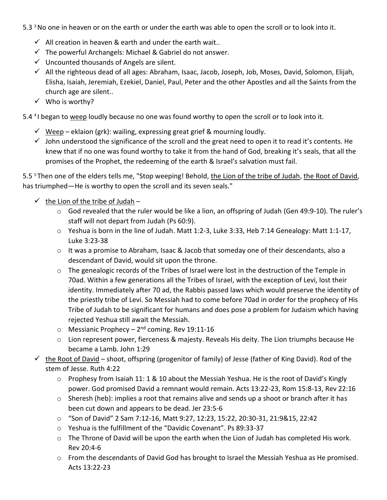- 5.3<sup>3</sup> No one in heaven or on the earth or under the earth was able to open the scroll or to look into it.
	- $\checkmark$  All creation in heaven & earth and under the earth wait..
	- $\checkmark$  The powerful Archangels: Michael & Gabriel do not answer.
	- $\checkmark$  Uncounted thousands of Angels are silent.
	- $\checkmark$  All the righteous dead of all ages: Abraham, Isaac, Jacob, Joseph, Job, Moses, David, Solomon, Elijah, Elisha, Isaiah, Jeremiah, Ezekiel, Daniel, Paul, Peter and the other Apostles and all the Saints from the church age are silent..
	- ✓ Who is worthy?
- 5.4<sup>4</sup>I began to weep loudly because no one was found worthy to open the scroll or to look into it.
	- $\checkmark$  Weep eklaion (grk): wailing, expressing great grief & mourning loudly.
	- $\checkmark$  John understood the significance of the scroll and the great need to open it to read it's contents. He knew that if no one was found worthy to take it from the hand of God, breaking it's seals, that all the promises of the Prophet, the redeeming of the earth & Israel's salvation must fail.

5.5<sup>5</sup> Then one of the elders tells me, "Stop weeping! Behold, the Lion of the tribe of Judah, the Root of David, has triumphed—He is worthy to open the scroll and its seven seals."

- $\checkmark$  the Lion of the tribe of Judah
	- $\circ$  God revealed that the ruler would be like a lion, an offspring of Judah (Gen 49:9-10). The ruler's staff will not depart from Judah (Ps 60:9).
	- o Yeshua is born in the line of Judah. Matt 1:2-3, Luke 3:33, Heb 7:14 Genealogy: Matt 1:1-17, Luke 3:23-38
	- $\circ$  It was a promise to Abraham, Isaac & Jacob that someday one of their descendants, also a descendant of David, would sit upon the throne.
	- o The genealogic records of the Tribes of Israel were lost in the destruction of the Temple in 70ad. Within a few generations all the Tribes of Israel, with the exception of Levi, lost their identity. Immediately after 70 ad, the Rabbis passed laws which would preserve the identity of the priestly tribe of Levi. So Messiah had to come before 70ad in order for the prophecy of His Tribe of Judah to be significant for humans and does pose a problem for Judaism which having rejected Yeshua still await the Messiah.
	- o Messianic Prophecy 2<sup>nd</sup> coming. Rev 19:11-16
	- o Lion represent power, fierceness & majesty. Reveals His deity. The Lion triumphs because He became a Lamb. John 1:29
- the Root of David shoot, offspring (progenitor of family) of Jesse (father of King David). Rod of the stem of Jesse. Ruth 4:22
	- $\circ$  Prophesy from Isaiah 11: 1 & 10 about the Messiah Yeshua. He is the root of David's Kingly power. God promised David a remnant would remain. Acts 13:22-23, Rom 15:8-13, Rev 22:16
	- $\circ$  Sheresh (heb): implies a root that remains alive and sends up a shoot or branch after it has been cut down and appears to be dead. Jer 23:5-6
	- o "Son of David" 2 Sam 7:12-16, Matt 9:27, 12:23, 15:22, 20:30-31, 21:9&15, 22:42
	- o Yeshua is the fulfillment of the "Davidic Covenant". Ps 89:33-37
	- $\circ$  The Throne of David will be upon the earth when the Lion of Judah has completed His work. Rev 20:4-6
	- o From the descendants of David God has brought to Israel the Messiah Yeshua as He promised. Acts 13:22-23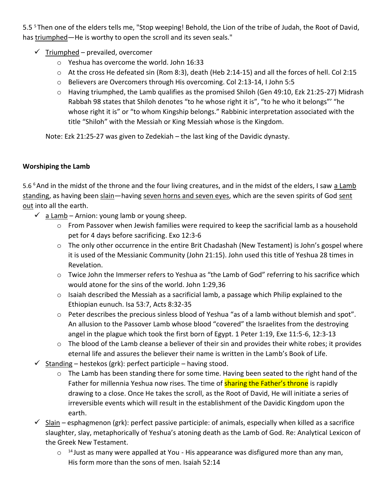5.5<sup>5</sup> Then one of the elders tells me, "Stop weeping! Behold, the Lion of the tribe of Judah, the Root of David, has triumphed—He is worthy to open the scroll and its seven seals."

- $\checkmark$  Triumphed prevailed, overcomer
	- o Yeshua has overcome the world. John 16:33
	- o At the cross He defeated sin (Rom 8:3), death (Heb 2:14-15) and all the forces of hell. Col 2:15
	- o Believers are Overcomers through His overcoming. Col 2:13-14, I John 5:5
	- o Having triumphed, the Lamb qualifies as the promised Shiloh (Gen 49:10, Ezk 21:25-27) Midrash Rabbah 98 states that Shiloh denotes "to he whose right it is", "to he who it belongs"' "he whose right it is" or "to whom Kingship belongs." Rabbinic interpretation associated with the title "Shiloh" with the Messiah or King Messiah whose is the Kingdom.

Note: Ezk 21:25-27 was given to Zedekiah – the last king of the Davidic dynasty.

#### **Worshiping the Lamb**

5.6<sup>6</sup> And in the midst of the throne and the four living creatures, and in the midst of the elders, I saw a Lamb standing, as having been slain—having seven horns and seven eyes, which are the seven spirits of God sent out into all the earth.

- $\checkmark$  a Lamb Arnion: young lamb or young sheep.
	- o From Passover when Jewish families were required to keep the sacrificial lamb as a household pet for 4 days before sacrificing. Exo 12:3-6
	- o The only other occurrence in the entire Brit Chadashah (New Testament) is John's gospel where it is used of the Messianic Community (John 21:15). John used this title of Yeshua 28 times in Revelation.
	- $\circ$  Twice John the Immerser refers to Yeshua as "the Lamb of God" referring to his sacrifice which would atone for the sins of the world. John 1:29,36
	- o Isaiah described the Messiah as a sacrificial lamb, a passage which Philip explained to the Ethiopian eunuch. Isa 53:7, Acts 8:32-35
	- $\circ$  Peter describes the precious sinless blood of Yeshua "as of a lamb without blemish and spot". An allusion to the Passover Lamb whose blood "covered" the Israelites from the destroying angel in the plague which took the first born of Egypt. 1 Peter 1:19, Exe 11:5-6, 12:3-13
	- o The blood of the Lamb cleanse a believer of their sin and provides their white robes; it provides eternal life and assures the believer their name is written in the Lamb's Book of Life.
- $\checkmark$  Standing hestekos (grk): perfect participle having stood.
	- $\circ$  The Lamb has been standing there for some time. Having been seated to the right hand of the Father for millennia Yeshua now rises. The time of **sharing the Father's throne** is rapidly drawing to a close. Once He takes the scroll, as the Root of David, He will initiate a series of irreversible events which will result in the establishment of the Davidic Kingdom upon the earth.
- $\checkmark$  Slain esphagmenon (grk): perfect passive participle: of animals, especially when killed as a sacrifice slaughter, slay, metaphorically of Yeshua's atoning death as the Lamb of God. Re: Analytical Lexicon of the Greek New Testament.
	- $\circ$  <sup>14</sup> Just as many were appalled at You His appearance was disfigured more than any man, His form more than the sons of men. Isaiah 52:14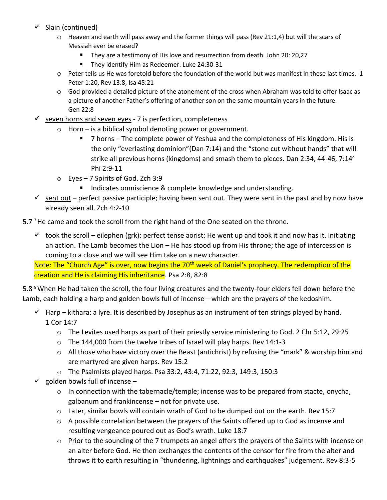## ✓ Slain (continued)

- $\circ$  Heaven and earth will pass away and the former things will pass (Rev 21:1,4) but will the scars of Messiah ever be erased?
	- They are a testimony of His love and resurrection from death. John 20: 20,27
	- They identify Him as Redeemer. Luke 24:30-31
- $\circ$  Peter tells us He was foretold before the foundation of the world but was manifest in these last times. 1 Peter 1:20, Rev 13:8, Isa 45:21
- $\circ$  God provided a detailed picture of the atonement of the cross when Abraham was told to offer Isaac as a picture of another Father's offering of another son on the same mountain years in the future. Gen 22:8

#### $\checkmark$  seven horns and seven eyes - 7 is perfection, completeness

- o Horn is a biblical symbol denoting power or government.
	- 7 horns The complete power of Yeshua and the completeness of His kingdom. His is the only "everlasting dominion"(Dan 7:14) and the "stone cut without hands" that will strike all previous horns (kingdoms) and smash them to pieces. Dan 2:34, 44-46, 7:14' Phi 2:9-11
- o Eyes 7 Spirits of God. Zch 3:9
	- Indicates omniscience & complete knowledge and understanding.
- $\checkmark$  sent out perfect passive participle; having been sent out. They were sent in the past and by now have already seen all. Zch 4:2-10
- 5.7<sup>7</sup> He came and took the scroll from the right hand of the One seated on the throne.
	- $\checkmark$  took the scroll eilephen (grk): perfect tense aorist: He went up and took it and now has it. Initiating an action. The Lamb becomes the Lion – He has stood up from His throne; the age of intercession is coming to a close and we will see Him take on a new character.

Note: The "Church Age" is over, now begins the 70<sup>th</sup> week of Daniel's prophecy. The redemption of the creation and He is claiming His inheritance. Psa 2:8, 82:8

5.8 <sup>8</sup> When He had taken the scroll, the four living creatures and the twenty-four elders fell down before the Lamb, each holding a harp and golden bowls full of incense—which are the prayers of the kedoshim.

- $\checkmark$  Harp kithara: a lyre. It is described by Josephus as an instrument of ten strings played by hand. 1 Cor 14:7
	- o The Levites used harps as part of their priestly service ministering to God. 2 Chr 5:12, 29:25
	- $\circ$  The 144,000 from the twelve tribes of Israel will play harps. Rev 14:1-3
	- $\circ$  All those who have victory over the Beast (antichrist) by refusing the "mark" & worship him and are martyred are given harps. Rev 15:2
	- o The Psalmists played harps. Psa 33:2, 43:4, 71:22, 92:3, 149:3, 150:3
- $\checkmark$  golden bowls full of incense
	- $\circ$  In connection with the tabernacle/temple; incense was to be prepared from stacte, onycha, galbanum and frankincense – not for private use.
	- $\circ$  Later, similar bowls will contain wrath of God to be dumped out on the earth. Rev 15:7
	- $\circ$  A possible correlation between the prayers of the Saints offered up to God as incense and resulting vengeance poured out as God's wrath. Luke 18:7
	- o Prior to the sounding of the 7 trumpets an angel offers the prayers of the Saints with incense on an alter before God. He then exchanges the contents of the censor for fire from the alter and throws it to earth resulting in "thundering, lightnings and earthquakes" judgement. Rev 8:3-5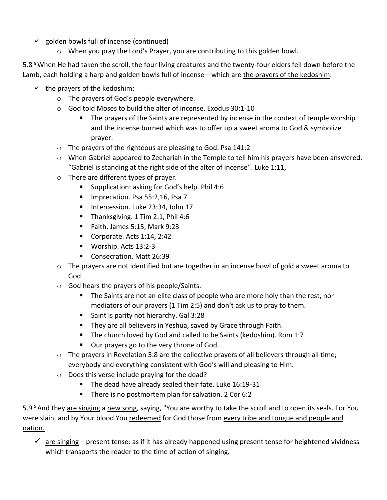# ✓ golden bowls full of incense (continued)

o When you pray the Lord's Prayer, you are contributing to this golden bowl.

5.8 <sup>8</sup> When He had taken the scroll, the four living creatures and the twenty-four elders fell down before the Lamb, each holding a harp and golden bowls full of incense—which are the prayers of the kedoshim.

- $\checkmark$  the prayers of the kedoshim:
	- o The prayers of God's people everywhere.
	- o God told Moses to build the alter of incense. Exodus 30:1-10
		- The prayers of the Saints are represented by incense in the context of temple worship and the incense burned which was to offer up a sweet aroma to God & symbolize prayer.
	- o The prayers of the righteous are pleasing to God. Psa 141:2
	- $\circ$  When Gabriel appeared to Zechariah in the Temple to tell him his prayers have been answered, "Gabriel is standing at the right side of the alter of incense". Luke 1:11,
	- o There are different types of prayer.
		- Supplication: asking for God's help. Phil 4:6
		- Imprecation. Psa 55:2,16, Psa 7
		- **Intercession. Luke 23:34, John 17**
		- Thanksgiving. 1 Tim 2:1, Phil 4:6
		- Faith. James 5:15, Mark 9:23
		- Corporate. Acts 1:14, 2:42
		- Worship. Acts 13:2-3
		- Consecration. Matt 26:39
	- $\circ$  The prayers are not identified but are together in an incense bowl of gold a sweet aroma to God.
	- o God hears the prayers of his people/Saints.
		- The Saints are not an elite class of people who are more holy than the rest, nor mediators of our prayers (1 Tim 2:5) and don't ask us to pray to them.
		- Saint is parity not hierarchy. Gal 3:28
		- **E** They are all believers in Yeshua, saved by Grace through Faith.
		- The church loved by God and called to be Saints (kedoshim). Rom 1:7
		- Our prayers go to the very throne of God.
	- $\circ$  The prayers in Revelation 5:8 are the collective prayers of all believers through all time; everybody and everything consistent with God's will and pleasing to Him.
	- o Does this verse include praying for the dead?
		- The dead have already sealed their fate. Luke 16:19-31
		- There is no postmortem plan for salvation. 2 Cor 6:2

5.9 <sup>9</sup> And they are singing a new song, saying, "You are worthy to take the scroll and to open its seals. For You were slain, and by Your blood You redeemed for God those from every tribe and tongue and people and nation.

 $\checkmark$  are singing – present tense: as if it has already happened using present tense for heightened vividness which transports the reader to the time of action of singing.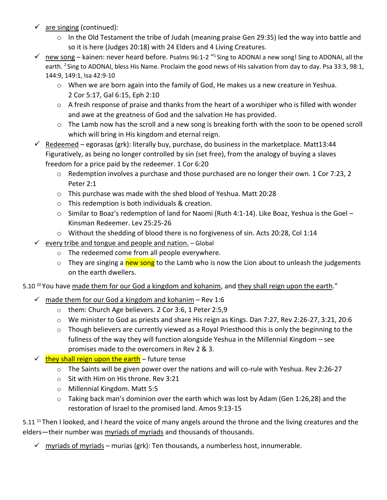- $\checkmark$  are singing (continued):
	- $\circ$  In the Old Testament the tribe of Judah (meaning praise Gen 29:35) led the way into battle and so it is here (Judges 20:18) with 24 Elders and 4 Living Creatures.
- √ new song kainen: never heard before. Psalms 96:1-2 "1 Sing to ADONAI a new song! Sing to ADONAI, all the earth. <sup>2</sup> Sing to ADONAI, bless His Name. Proclaim the good news of His salvation from day to day. Psa 33:3, 98:1, 144:9, 149:1, Isa 42:9-10
	- o When we are born again into the family of God, He makes us a new creature in Yeshua. 2 Cor 5:17, Gal 6:15, Eph 2:10
	- $\circ$  A fresh response of praise and thanks from the heart of a worshiper who is filled with wonder and awe at the greatness of God and the salvation He has provided.
	- o The Lamb now has the scroll and a new song is breaking forth with the soon to be opened scroll which will bring in His kingdom and eternal reign.
- $\checkmark$  Redeemed egorasas (grk): literally buy, purchase, do business in the marketplace. Matt13:44 Figuratively, as being no longer controlled by sin (set free), from the analogy of buying a slaves freedom for a price paid by the redeemer. 1 Cor 6:20
	- o Redemption involves a purchase and those purchased are no longer their own. 1 Cor 7:23, 2 Peter 2:1
	- o This purchase was made with the shed blood of Yeshua. Matt 20:28
	- o This redemption is both individuals & creation.
	- $\circ$  Similar to Boaz's redemption of land for Naomi (Ruth 4:1-14). Like Boaz, Yeshua is the Goel Kinsman Redeemer. Lev 25:25-26
	- $\circ$  Without the shedding of blood there is no forgiveness of sin. Acts 20:28, Col 1:14
- $\checkmark$  every tribe and tongue and people and nation. Global
	- o The redeemed come from all people everywhere.
	- o They are singing a new song to the Lamb who is now the Lion about to unleash the judgements on the earth dwellers.

5.10<sup>10</sup> You have made them for our God a kingdom and kohanim, and they shall reign upon the earth."

- $\checkmark$  made them for our God a kingdom and kohanim Rev 1:6
	- o them: Church Age believers. 2 Cor 3:6, 1 Peter 2:5,9
	- o We minister to God as priests and share His reign as Kings. Dan 7:27, Rev 2:26-27, 3:21, 20:6
	- o Though believers are currently viewed as a Royal Priesthood this is only the beginning to the fullness of the way they will function alongside Yeshua in the Millennial Kingdom – see promises made to the overcomers in Rev 2 & 3.
- $\checkmark$  they shall reign upon the earth future tense
	- $\circ$  The Saints will be given power over the nations and will co-rule with Yeshua. Rev 2:26-27
	- o Sit with Him on His throne. Rev 3:21
	- o Millennial Kingdom. Matt 5:5
	- $\circ$  Taking back man's dominion over the earth which was lost by Adam (Gen 1:26,28) and the restoration of Israel to the promised land. Amos 9:13-15

5.11<sup>11</sup> Then I looked, and I heard the voice of many angels around the throne and the living creatures and the elders—their number was myriads of myriads and thousands of thousands.

 $\checkmark$  myriads of myriads – murias (grk): Ten thousands, a numberless host, innumerable.